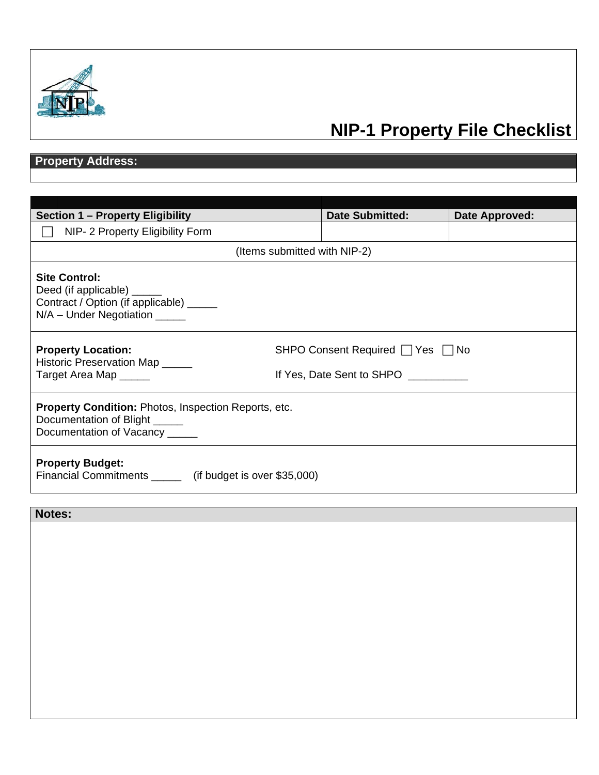

# **NIP-1 Property File Checklist**

## **Property Address:**

| <b>Section 1 – Property Eligibility</b>                                                                                    | <b>Date Submitted:</b>                                        | Date Approved: |
|----------------------------------------------------------------------------------------------------------------------------|---------------------------------------------------------------|----------------|
| NIP- 2 Property Eligibility Form                                                                                           |                                                               |                |
| (Items submitted with NIP-2)                                                                                               |                                                               |                |
| <b>Site Control:</b><br>Deed (if applicable) _<br>Contract / Option (if applicable) _____<br>N/A - Under Negotiation _____ |                                                               |                |
| <b>Property Location:</b><br>Historic Preservation Map _____<br>Target Area Map _____                                      | SHPO Consent Required   Yes   No<br>If Yes, Date Sent to SHPO |                |
| <b>Property Condition: Photos, Inspection Reports, etc.</b><br>Documentation of Blight<br>Documentation of Vacancy _____   |                                                               |                |
| <b>Property Budget:</b><br>Financial Commitments ________ (if budget is over \$35,000)                                     |                                                               |                |

**Notes:**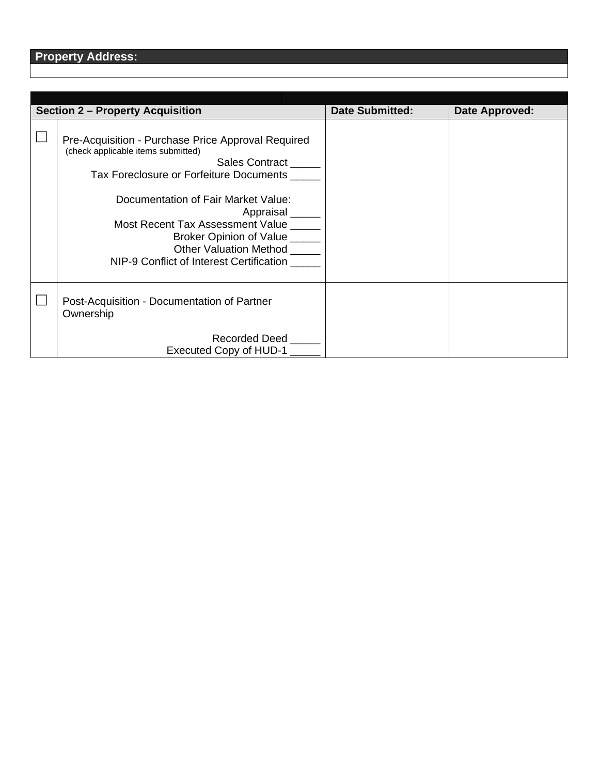| <b>Section 2 - Property Acquisition</b>                                                                                                                                                                                                                                                                                                                     | <b>Date Submitted:</b> | Date Approved: |
|-------------------------------------------------------------------------------------------------------------------------------------------------------------------------------------------------------------------------------------------------------------------------------------------------------------------------------------------------------------|------------------------|----------------|
| Pre-Acquisition - Purchase Price Approval Required<br>(check applicable items submitted)<br>Sales Contract<br>Tax Foreclosure or Forfeiture Documents<br>Documentation of Fair Market Value:<br>Appraisal<br>Most Recent Tax Assessment Value<br>Broker Opinion of Value _____<br><b>Other Valuation Method</b><br>NIP-9 Conflict of Interest Certification |                        |                |
| Post-Acquisition - Documentation of Partner<br>Ownership                                                                                                                                                                                                                                                                                                    |                        |                |
| Recorded Deed<br>Executed Copy of HUD-1                                                                                                                                                                                                                                                                                                                     |                        |                |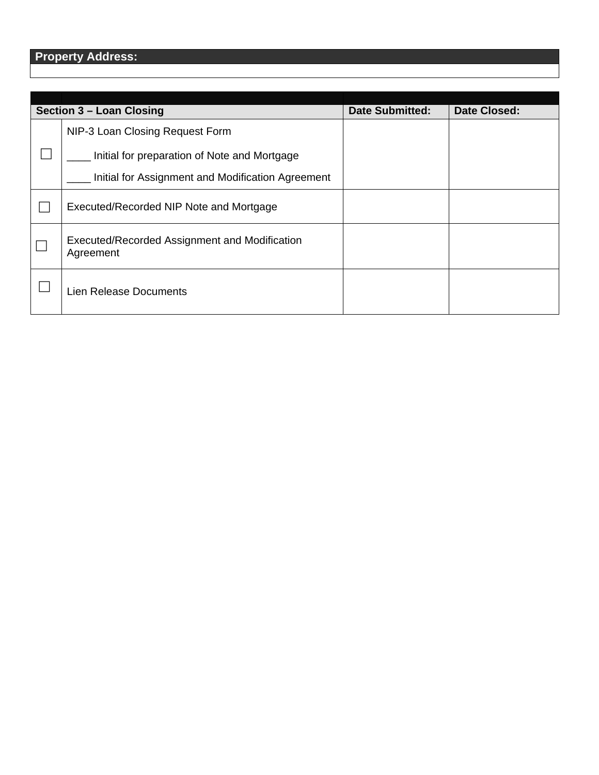| Section 3 – Loan Closing                                   | <b>Date Submitted:</b> | Date Closed: |
|------------------------------------------------------------|------------------------|--------------|
| NIP-3 Loan Closing Request Form                            |                        |              |
| Initial for preparation of Note and Mortgage               |                        |              |
| Initial for Assignment and Modification Agreement          |                        |              |
| Executed/Recorded NIP Note and Mortgage                    |                        |              |
| Executed/Recorded Assignment and Modification<br>Agreement |                        |              |
| Lien Release Documents                                     |                        |              |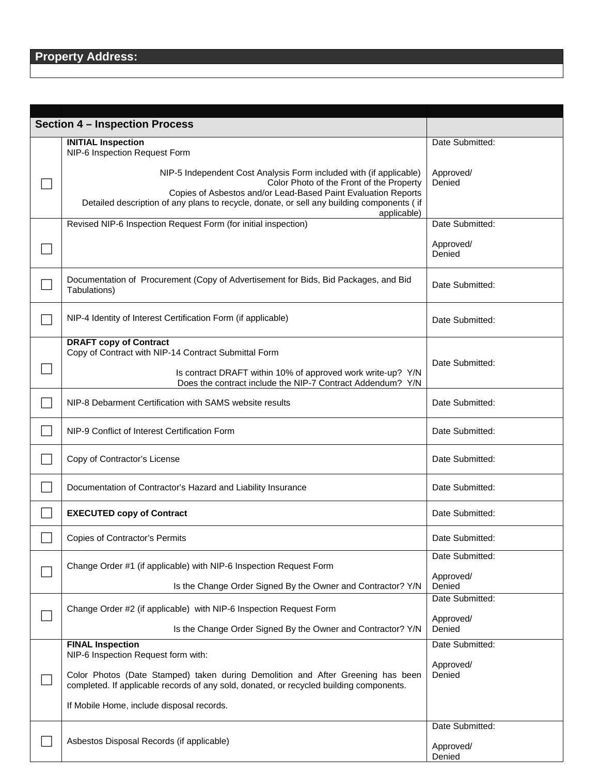|  | <b>Section 4 - Inspection Process</b>                                                                                                                                                                                                                                                       |                     |  |
|--|---------------------------------------------------------------------------------------------------------------------------------------------------------------------------------------------------------------------------------------------------------------------------------------------|---------------------|--|
|  | <b>INITIAL Inspection</b><br>NIP-6 Inspection Request Form                                                                                                                                                                                                                                  | Date Submitted:     |  |
|  | NIP-5 Independent Cost Analysis Form included with (if applicable)<br>Color Photo of the Front of the Property<br>Copies of Asbestos and/or Lead-Based Paint Evaluation Reports<br>Detailed description of any plans to recycle, donate, or sell any building components (if<br>applicable) | Approved/<br>Denied |  |
|  | Revised NIP-6 Inspection Request Form (for initial inspection)                                                                                                                                                                                                                              | Date Submitted:     |  |
|  |                                                                                                                                                                                                                                                                                             | Approved/<br>Denied |  |
|  | Documentation of Procurement (Copy of Advertisement for Bids, Bid Packages, and Bid<br>Tabulations)                                                                                                                                                                                         | Date Submitted:     |  |
|  | NIP-4 Identity of Interest Certification Form (if applicable)                                                                                                                                                                                                                               | Date Submitted:     |  |
|  | <b>DRAFT copy of Contract</b><br>Copy of Contract with NIP-14 Contract Submittal Form<br>Is contract DRAFT within 10% of approved work write-up? Y/N                                                                                                                                        | Date Submitted:     |  |
|  | Does the contract include the NIP-7 Contract Addendum? Y/N<br>NIP-8 Debarment Certification with SAMS website results                                                                                                                                                                       | Date Submitted:     |  |
|  | NIP-9 Conflict of Interest Certification Form                                                                                                                                                                                                                                               | Date Submitted:     |  |
|  | Copy of Contractor's License                                                                                                                                                                                                                                                                | Date Submitted:     |  |
|  | Documentation of Contractor's Hazard and Liability Insurance                                                                                                                                                                                                                                | Date Submitted:     |  |
|  | <b>EXECUTED copy of Contract</b>                                                                                                                                                                                                                                                            | Date Submitted:     |  |
|  | Copies of Contractor's Permits                                                                                                                                                                                                                                                              | Date Submitted:     |  |
|  | Change Order #1 (if applicable) with NIP-6 Inspection Request Form                                                                                                                                                                                                                          | Date Submitted:     |  |
|  | Is the Change Order Signed By the Owner and Contractor? Y/N                                                                                                                                                                                                                                 | Approved/<br>Denied |  |
|  | Change Order #2 (if applicable) with NIP-6 Inspection Request Form                                                                                                                                                                                                                          | Date Submitted:     |  |
|  | Is the Change Order Signed By the Owner and Contractor? Y/N                                                                                                                                                                                                                                 | Approved/<br>Denied |  |
|  | <b>FINAL Inspection</b><br>NIP-6 Inspection Request form with:                                                                                                                                                                                                                              | Date Submitted:     |  |
|  | Color Photos (Date Stamped) taken during Demolition and After Greening has been<br>completed. If applicable records of any sold, donated, or recycled building components.                                                                                                                  | Approved/<br>Denied |  |
|  | If Mobile Home, include disposal records.                                                                                                                                                                                                                                                   |                     |  |
|  |                                                                                                                                                                                                                                                                                             | Date Submitted:     |  |
|  | Asbestos Disposal Records (if applicable)                                                                                                                                                                                                                                                   | Approved/<br>Denied |  |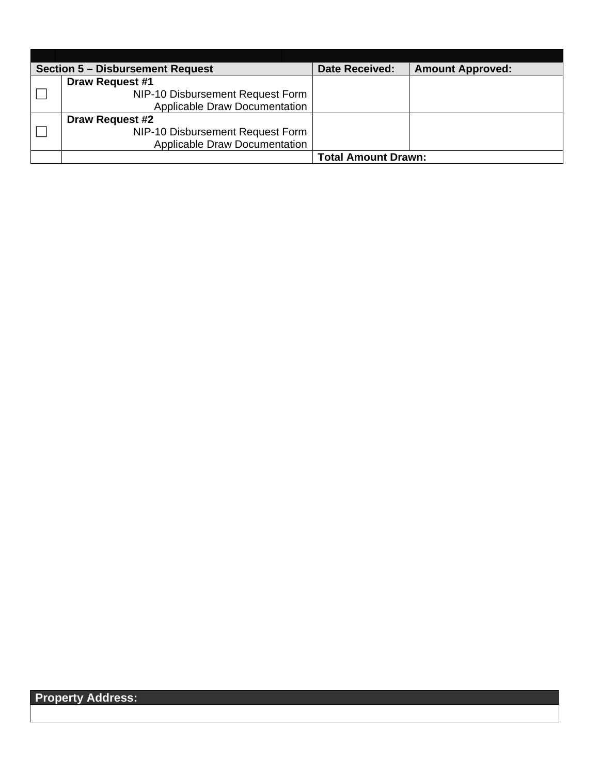| <b>Section 5 - Disbursement Request</b> | <b>Date Received:</b>      | <b>Amount Approved:</b> |
|-----------------------------------------|----------------------------|-------------------------|
| <b>Draw Request #1</b>                  |                            |                         |
| NIP-10 Disbursement Request Form        |                            |                         |
| <b>Applicable Draw Documentation</b>    |                            |                         |
| <b>Draw Request #2</b>                  |                            |                         |
| NIP-10 Disbursement Request Form        |                            |                         |
| <b>Applicable Draw Documentation</b>    |                            |                         |
|                                         | <b>Total Amount Drawn:</b> |                         |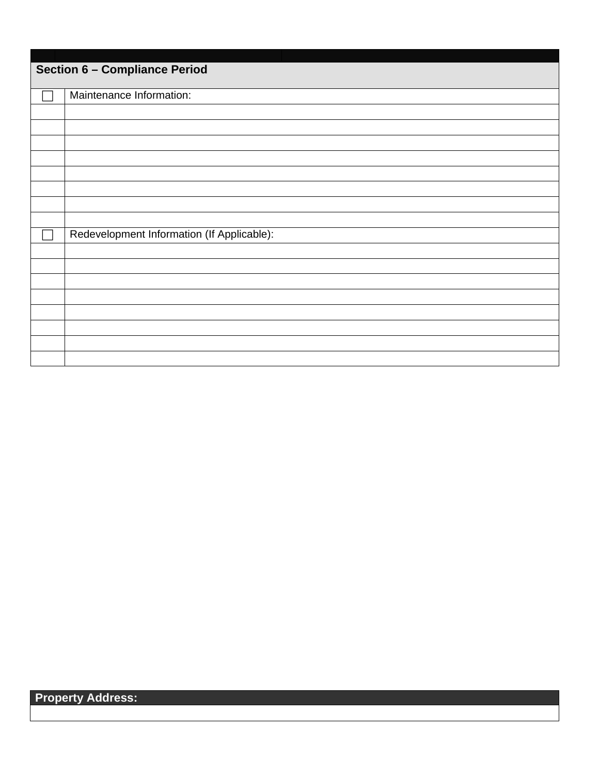| <b>Section 6 - Compliance Period</b> |                                            |  |
|--------------------------------------|--------------------------------------------|--|
|                                      | Maintenance Information:                   |  |
|                                      |                                            |  |
|                                      |                                            |  |
|                                      |                                            |  |
|                                      |                                            |  |
|                                      |                                            |  |
|                                      |                                            |  |
|                                      |                                            |  |
|                                      |                                            |  |
|                                      | Redevelopment Information (If Applicable): |  |
|                                      |                                            |  |
|                                      |                                            |  |
|                                      |                                            |  |
|                                      |                                            |  |
|                                      |                                            |  |
|                                      |                                            |  |
|                                      |                                            |  |
|                                      |                                            |  |